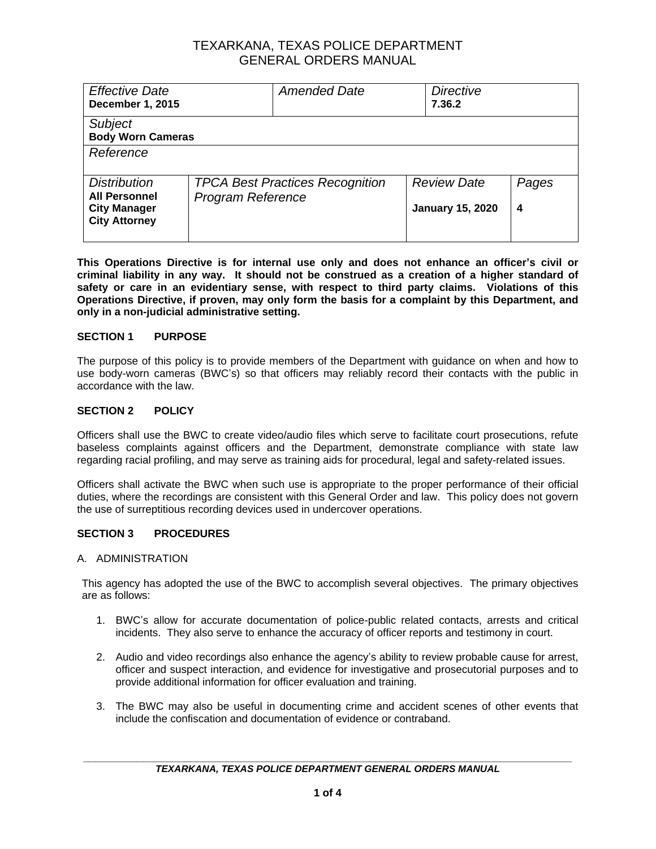| <b>Review Date</b><br>Pages<br><b>January 15, 2020</b><br>4 |
|-------------------------------------------------------------|
|                                                             |

**This Operations Directive is for internal use only and does not enhance an officer's civil or criminal liability in any way. It should not be construed as a creation of a higher standard of safety or care in an evidentiary sense, with respect to third party claims. Violations of this Operations Directive, if proven, may only form the basis for a complaint by this Department, and only in a non-judicial administrative setting.**

## **SECTION 1 PURPOSE**

The purpose of this policy is to provide members of the Department with guidance on when and how to use body-worn cameras (BWC's) so that officers may reliably record their contacts with the public in accordance with the law.

### **SECTION 2 POLICY**

Officers shall use the BWC to create video/audio files which serve to facilitate court prosecutions, refute baseless complaints against officers and the Department, demonstrate compliance with state law regarding racial profiling, and may serve as training aids for procedural, legal and safety-related issues.

Officers shall activate the BWC when such use is appropriate to the proper performance of their official duties, where the recordings are consistent with this General Order and law. This policy does not govern the use of surreptitious recording devices used in undercover operations.

#### **SECTION 3 PROCEDURES**

#### A. ADMINISTRATION

This agency has adopted the use of the BWC to accomplish several objectives. The primary objectives are as follows:

- 1. BWC's allow for accurate documentation of police-public related contacts, arrests and critical incidents. They also serve to enhance the accuracy of officer reports and testimony in court.
- 2. Audio and video recordings also enhance the agency's ability to review probable cause for arrest, officer and suspect interaction, and evidence for investigative and prosecutorial purposes and to provide additional information for officer evaluation and training.
- 3. The BWC may also be useful in documenting crime and accident scenes of other events that include the confiscation and documentation of evidence or contraband.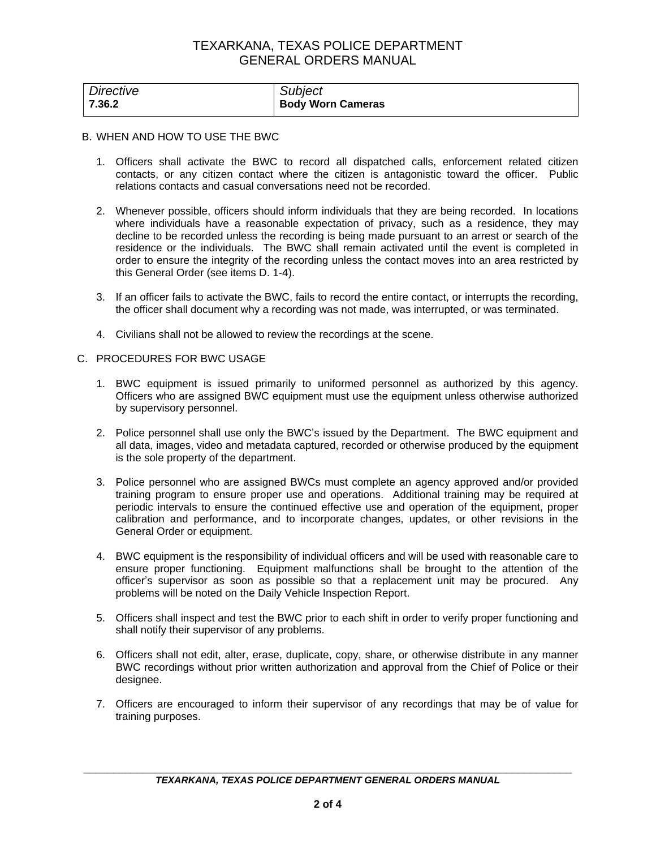| Directive | Subject                  |
|-----------|--------------------------|
| 7.36.2    | <b>Body Worn Cameras</b> |

#### B. WHEN AND HOW TO USE THE BWC

- 1. Officers shall activate the BWC to record all dispatched calls, enforcement related citizen contacts, or any citizen contact where the citizen is antagonistic toward the officer. Public relations contacts and casual conversations need not be recorded.
- 2. Whenever possible, officers should inform individuals that they are being recorded. In locations where individuals have a reasonable expectation of privacy, such as a residence, they may decline to be recorded unless the recording is being made pursuant to an arrest or search of the residence or the individuals. The BWC shall remain activated until the event is completed in order to ensure the integrity of the recording unless the contact moves into an area restricted by this General Order (see items D. 1-4).
- 3. If an officer fails to activate the BWC, fails to record the entire contact, or interrupts the recording, the officer shall document why a recording was not made, was interrupted, or was terminated.
- 4. Civilians shall not be allowed to review the recordings at the scene.

#### C. PROCEDURES FOR BWC USAGE

- 1. BWC equipment is issued primarily to uniformed personnel as authorized by this agency. Officers who are assigned BWC equipment must use the equipment unless otherwise authorized by supervisory personnel.
- 2. Police personnel shall use only the BWC's issued by the Department. The BWC equipment and all data, images, video and metadata captured, recorded or otherwise produced by the equipment is the sole property of the department.
- 3. Police personnel who are assigned BWCs must complete an agency approved and/or provided training program to ensure proper use and operations. Additional training may be required at periodic intervals to ensure the continued effective use and operation of the equipment, proper calibration and performance, and to incorporate changes, updates, or other revisions in the General Order or equipment.
- 4. BWC equipment is the responsibility of individual officers and will be used with reasonable care to ensure proper functioning. Equipment malfunctions shall be brought to the attention of the officer's supervisor as soon as possible so that a replacement unit may be procured. Any problems will be noted on the Daily Vehicle Inspection Report.
- 5. Officers shall inspect and test the BWC prior to each shift in order to verify proper functioning and shall notify their supervisor of any problems.
- 6. Officers shall not edit, alter, erase, duplicate, copy, share, or otherwise distribute in any manner BWC recordings without prior written authorization and approval from the Chief of Police or their designee.
- 7. Officers are encouraged to inform their supervisor of any recordings that may be of value for training purposes.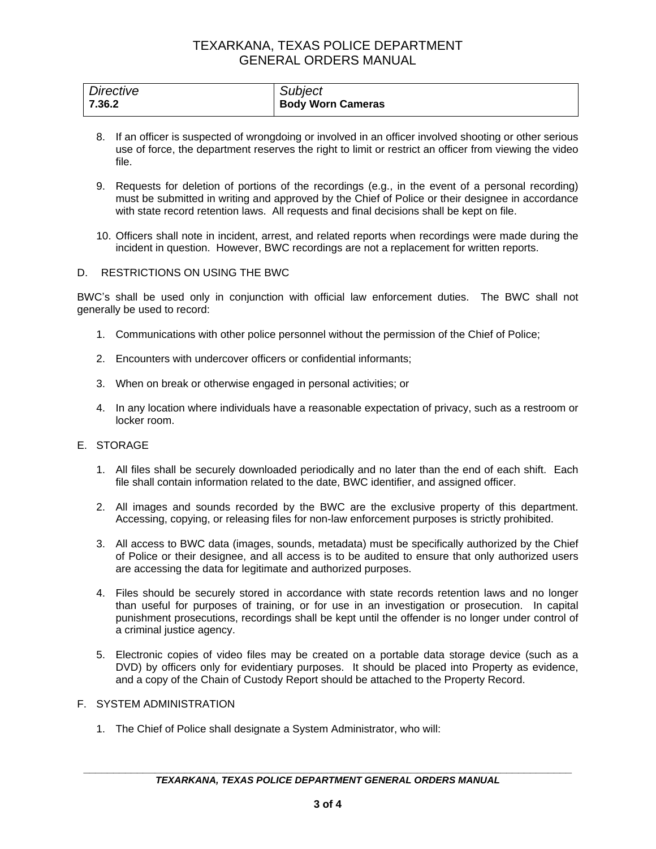| Directive | Subject                  |
|-----------|--------------------------|
| 7.36.2    | <b>Body Worn Cameras</b> |

- 8. If an officer is suspected of wrongdoing or involved in an officer involved shooting or other serious use of force, the department reserves the right to limit or restrict an officer from viewing the video file.
- 9. Requests for deletion of portions of the recordings (e.g., in the event of a personal recording) must be submitted in writing and approved by the Chief of Police or their designee in accordance with state record retention laws. All requests and final decisions shall be kept on file.
- 10. Officers shall note in incident, arrest, and related reports when recordings were made during the incident in question. However, BWC recordings are not a replacement for written reports.

### D. RESTRICTIONS ON USING THE BWC

BWC's shall be used only in conjunction with official law enforcement duties. The BWC shall not generally be used to record:

- 1. Communications with other police personnel without the permission of the Chief of Police;
- 2. Encounters with undercover officers or confidential informants;
- 3. When on break or otherwise engaged in personal activities; or
- 4. In any location where individuals have a reasonable expectation of privacy, such as a restroom or locker room.
- E. STORAGE
	- 1. All files shall be securely downloaded periodically and no later than the end of each shift. Each file shall contain information related to the date, BWC identifier, and assigned officer.
	- 2. All images and sounds recorded by the BWC are the exclusive property of this department. Accessing, copying, or releasing files for non-law enforcement purposes is strictly prohibited.
	- 3. All access to BWC data (images, sounds, metadata) must be specifically authorized by the Chief of Police or their designee, and all access is to be audited to ensure that only authorized users are accessing the data for legitimate and authorized purposes.
	- 4. Files should be securely stored in accordance with state records retention laws and no longer than useful for purposes of training, or for use in an investigation or prosecution. In capital punishment prosecutions, recordings shall be kept until the offender is no longer under control of a criminal justice agency.
	- 5. Electronic copies of video files may be created on a portable data storage device (such as a DVD) by officers only for evidentiary purposes. It should be placed into Property as evidence, and a copy of the Chain of Custody Report should be attached to the Property Record.

### F. SYSTEM ADMINISTRATION

1. The Chief of Police shall designate a System Administrator, who will: